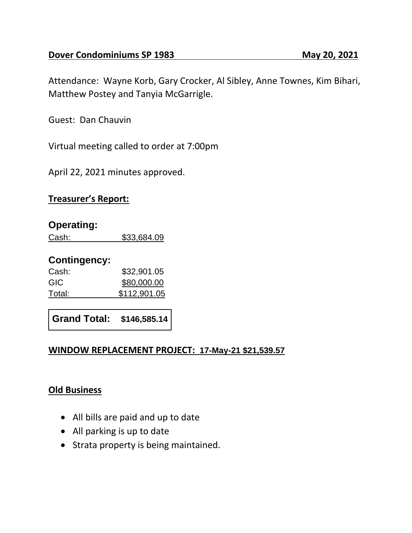Attendance: Wayne Korb, Gary Crocker, Al Sibley, Anne Townes, Kim Bihari, Matthew Postey and Tanyia McGarrigle.

Guest: Dan Chauvin

Virtual meeting called to order at 7:00pm

April 22, 2021 minutes approved.

# **Treasurer's Report:**

#### **Operating:**

Cash: \$33,684.09

## **Contingency:**

Cash: \$32,901.05 GIC \$80,000.00 Total: \$112,901.05

**Grand Total: \$146,585.14**

## **WINDOW REPLACEMENT PROJECT: 17-May-21 \$21,539.57**

## **Old Business**

- All bills are paid and up to date
- All parking is up to date
- Strata property is being maintained.